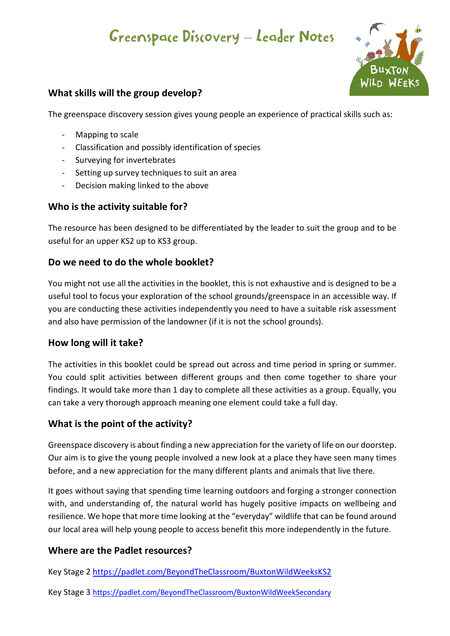# Greenspace Discovery – Leader Notes



## **What skills will the group develop?**

The greenspace discovery session gives young people an experience of practical skills such as:

- Mapping to scale
- Classification and possibly identification of species
- Surveying for invertebrates
- Setting up survey techniques to suit an area
- Decision making linked to the above

## **Who is the activity suitable for?**

The resource has been designed to be differentiated by the leader to suit the group and to be useful for an upper KS2 up to KS3 group.

#### **Do we need to do the whole booklet?**

You might not use all the activities in the booklet, this is not exhaustive and is designed to be a useful tool to focus your exploration of the school grounds/greenspace in an accessible way. If you are conducting these activities independently you need to have a suitable risk assessment and also have permission of the landowner (if it is not the school grounds).

#### **How long will it take?**

The activities in this booklet could be spread out across and time period in spring or summer. You could split activities between different groups and then come together to share your findings. It would take more than 1 day to complete all these activities as a group. Equally, you can take a very thorough approach meaning one element could take a full day.

## **What is the point of the activity?**

Greenspace discovery is about finding a new appreciation for the variety of life on our doorstep. Our aim is to give the young people involved a new look at a place they have seen many times before, and a new appreciation for the many different plants and animals that live there.

It goes without saying that spending time learning outdoors and forging a stronger connection with, and understanding of, the natural world has hugely positive impacts on wellbeing and resilience. We hope that more time looking at the "everyday" wildlife that can be found around our local area will help young people to access benefit this more independently in the future.

## **Where are the Padlet resources?**

Key Stage 2 https://padlet.com/BeyondTheClassroom/BuxtonWildWeeksKS2

Key Stage 3 https://padlet.com/BeyondTheClassroom/BuxtonWildWeekSecondary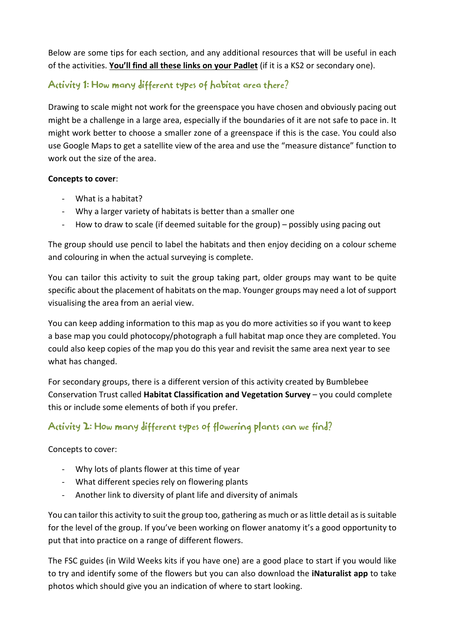Below are some tips for each section, and any additional resources that will be useful in each of the activities. **You'll find all these links on your Padlet** (if it is a KS2 or secondary one).

# Activity 1: How many different types of habitat area there?

Drawing to scale might not work for the greenspace you have chosen and obviously pacing out might be a challenge in a large area, especially if the boundaries of it are not safe to pace in. It might work better to choose a smaller zone of a greenspace if this is the case. You could also use Google Maps to get a satellite view of the area and use the "measure distance" function to work out the size of the area.

#### **Concepts to cover**:

- What is a habitat?
- Why a larger variety of habitats is better than a smaller one
- How to draw to scale (if deemed suitable for the group) possibly using pacing out

The group should use pencil to label the habitats and then enjoy deciding on a colour scheme and colouring in when the actual surveying is complete.

You can tailor this activity to suit the group taking part, older groups may want to be quite specific about the placement of habitats on the map. Younger groups may need a lot of support visualising the area from an aerial view.

You can keep adding information to this map as you do more activities so if you want to keep a base map you could photocopy/photograph a full habitat map once they are completed. You could also keep copies of the map you do this year and revisit the same area next year to see what has changed.

For secondary groups, there is a different version of this activity created by Bumblebee Conservation Trust called **Habitat Classification and Vegetation Survey** – you could complete this or include some elements of both if you prefer.

## Activity 2: How many different types of flowering plants can we find?

#### Concepts to cover:

- Why lots of plants flower at this time of year
- What different species rely on flowering plants
- Another link to diversity of plant life and diversity of animals

You can tailor this activity to suit the group too, gathering as much or as little detail as is suitable for the level of the group. If you've been working on flower anatomy it's a good opportunity to put that into practice on a range of different flowers.

The FSC guides (in Wild Weeks kits if you have one) are a good place to start if you would like to try and identify some of the flowers but you can also download the **iNaturalist app** to take photos which should give you an indication of where to start looking.